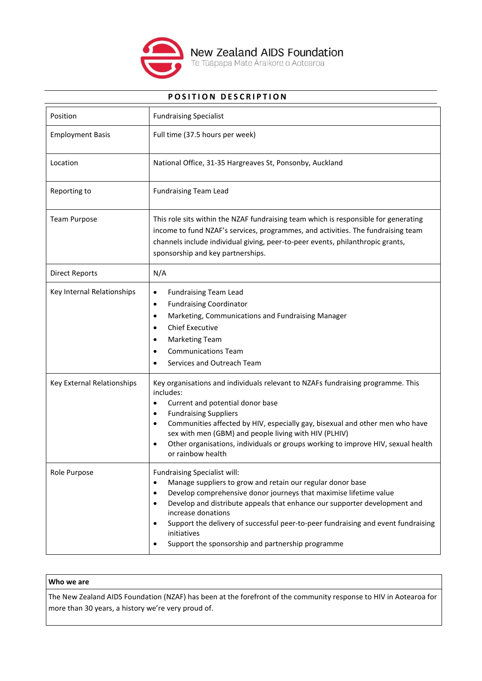

# **POSITION DESCRIPTION**

| Position                   | <b>Fundraising Specialist</b>                                                                                                                                                                                                                                                                                                                                                                                                            |
|----------------------------|------------------------------------------------------------------------------------------------------------------------------------------------------------------------------------------------------------------------------------------------------------------------------------------------------------------------------------------------------------------------------------------------------------------------------------------|
| <b>Employment Basis</b>    | Full time (37.5 hours per week)                                                                                                                                                                                                                                                                                                                                                                                                          |
| Location                   | National Office, 31-35 Hargreaves St, Ponsonby, Auckland                                                                                                                                                                                                                                                                                                                                                                                 |
| Reporting to               | <b>Fundraising Team Lead</b>                                                                                                                                                                                                                                                                                                                                                                                                             |
| <b>Team Purpose</b>        | This role sits within the NZAF fundraising team which is responsible for generating<br>income to fund NZAF's services, programmes, and activities. The fundraising team<br>channels include individual giving, peer-to-peer events, philanthropic grants,<br>sponsorship and key partnerships.                                                                                                                                           |
| <b>Direct Reports</b>      | N/A                                                                                                                                                                                                                                                                                                                                                                                                                                      |
| Key Internal Relationships | <b>Fundraising Team Lead</b><br>$\bullet$<br><b>Fundraising Coordinator</b><br>$\bullet$<br>Marketing, Communications and Fundraising Manager<br>$\bullet$<br><b>Chief Executive</b><br><b>Marketing Team</b><br><b>Communications Team</b><br>Services and Outreach Team                                                                                                                                                                |
| Key External Relationships | Key organisations and individuals relevant to NZAFs fundraising programme. This<br>includes:<br>Current and potential donor base<br>$\bullet$<br><b>Fundraising Suppliers</b><br>Communities affected by HIV, especially gay, bisexual and other men who have<br>sex with men (GBM) and people living with HIV (PLHIV)<br>Other organisations, individuals or groups working to improve HIV, sexual health<br>or rainbow health          |
| Role Purpose               | Fundraising Specialist will:<br>Manage suppliers to grow and retain our regular donor base<br>Develop comprehensive donor journeys that maximise lifetime value<br>Develop and distribute appeals that enhance our supporter development and<br>$\bullet$<br>increase donations<br>Support the delivery of successful peer-to-peer fundraising and event fundraising<br>initiatives<br>Support the sponsorship and partnership programme |

## **Who we are**

The New Zealand AIDS Foundation (NZAF) has been at the forefront of the community response to HIV in Aotearoa for more than 30 years, a history we're very proud of.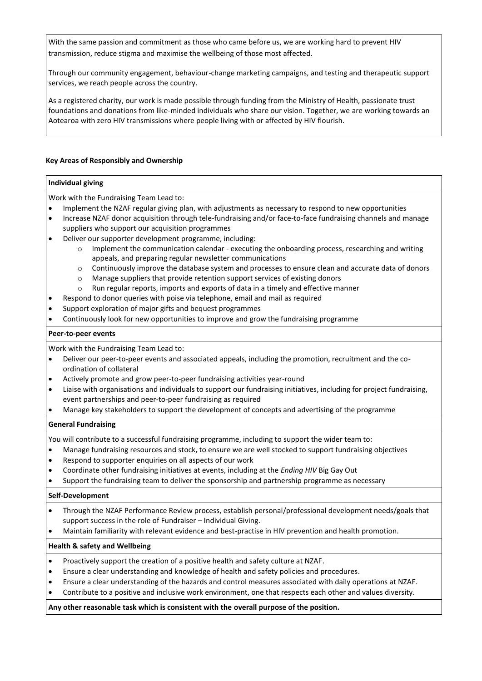With the same passion and commitment as those who came before us, we are working hard to prevent HIV transmission, reduce stigma and maximise the wellbeing of those most affected.

Through our community engagement, behaviour-change marketing campaigns, and testing and therapeutic support services, we reach people across the country.

As a registered charity, our work is made possible through funding from the Ministry of Health, passionate trust foundations and donations from like-minded individuals who share our vision. Together, we are working towards an Aotearoa with zero HIV transmissions where people living with or affected by HIV flourish.

### **Key Areas of Responsibly and Ownership**

#### **Individual giving**

Work with the Fundraising Team Lead to:

- Implement the NZAF regular giving plan, with adjustments as necessary to respond to new opportunities
- Increase NZAF donor acquisition through tele-fundraising and/or face-to-face fundraising channels and manage suppliers who support our acquisition programmes
- Deliver our supporter development programme, including:
	- $\circ$  Implement the communication calendar executing the onboarding process, researching and writing appeals, and preparing regular newsletter communications
	- o Continuously improve the database system and processes to ensure clean and accurate data of donors
	- o Manage suppliers that provide retention support services of existing donors
	- $\circ$  Run regular reports, imports and exports of data in a timely and effective manner
	- Respond to donor queries with poise via telephone, email and mail as required
- Support exploration of major gifts and bequest programmes
- Continuously look for new opportunities to improve and grow the fundraising programme

### **Peer-to-peer events**

Work with the Fundraising Team Lead to:

- Deliver our peer-to-peer events and associated appeals, including the promotion, recruitment and the coordination of collateral
- Actively promote and grow peer-to-peer fundraising activities year-round
- Liaise with organisations and individuals to support our fundraising initiatives, including for project fundraising, event partnerships and peer-to-peer fundraising as required
- Manage key stakeholders to support the development of concepts and advertising of the programme

### **General Fundraising**

You will contribute to a successful fundraising programme, including to support the wider team to:

- Manage fundraising resources and stock, to ensure we are well stocked to support fundraising objectives
- Respond to supporter enquiries on all aspects of our work
- Coordinate other fundraising initiatives at events, including at the *Ending HIV* Big Gay Out
- Support the fundraising team to deliver the sponsorship and partnership programme as necessary

### **Self-Development**

- Through the NZAF Performance Review process, establish personal/professional development needs/goals that support success in the role of Fundraiser – Individual Giving.
- Maintain familiarity with relevant evidence and best-practise in HIV prevention and health promotion.

### **Health & safety and Wellbeing**

- Proactively support the creation of a positive health and safety culture at NZAF.
- Ensure a clear understanding and knowledge of health and safety policies and procedures.
- Ensure a clear understanding of the hazards and control measures associated with daily operations at NZAF.
- Contribute to a positive and inclusive work environment, one that respects each other and values diversity.

**Any other reasonable task which is consistent with the overall purpose of the position.**